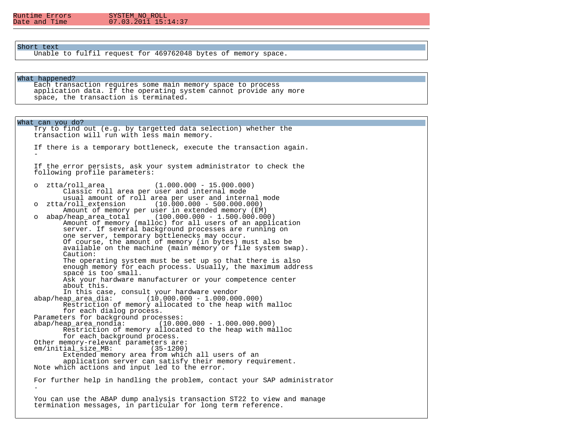# $07.03.\overline{2}01\overline{1}15:14:37$

## Short text

Unable to fulfil request for 469762048 bytes of memory space.

#### What happened?

 Each transaction requires some main memory space to process application data. If the operating system cannot provide any more space, the transaction is terminated.

What can you do? Try to find out (e.g. by targetted data selection) whether the transaction will run with less main memory. If there is a temporary bottleneck, execute the transaction again.  $\sim$  -  $\sim$   $-$  If the error persists, ask your system administrator to check the following profile parameters: o ztta/roll\_area (1.000.000 - 15.000.000) Classic roll area per user and internal mode usual amount of roll area per user and internal mode<br>0 xtta/roll extension (10.000.000 - 500.000.000)  $(10.000.000 - 500.000.000)$ Amount of memory per user in extended memory (EM)<br>00.000.000 - 1.500.000.000 - abap/heap area total (100.000.000 - 1.500.000.00  $(100.000.000 - 1.500.000.000)$  Amount of memory (malloc) for all users of an application server. If several background processes are running on one server, temporary bottlenecks may occur. Of course, the amount of memory (in bytes) must also be available on the machine (main memory or file system swap). Caution: The operating system must be set up so that there is also enough memory for each process. Usually, the maximum address space is too small. Ask your hardware manufacturer or your competence center about this. In this case, consult your hardware vendor<br>abap/heap area dia: (10.000.000 - 1.000.00  $(10.000.000 - 1.000.000.000)$  Restriction of memory allocated to the heap with malloc for each dialog process. Parameters for background processes:<br>abap/heap area nondia: (10.00  $(10.000.000 - 1.000.000.000)$  Restriction of memory allocated to the heap with malloc for each background process. Other memory-relevant parameters are:<br>em/initial size MB: (35-1200) em/initial size MB: Extended memory area from which all users of an application server can satisfy their memory requirement. Note which actions and input led to the error. For further help in handling the problem, contact your SAP administrator . You can use the ABAP dump analysis transaction ST22 to view and manage termination messages, in particular for long term reference.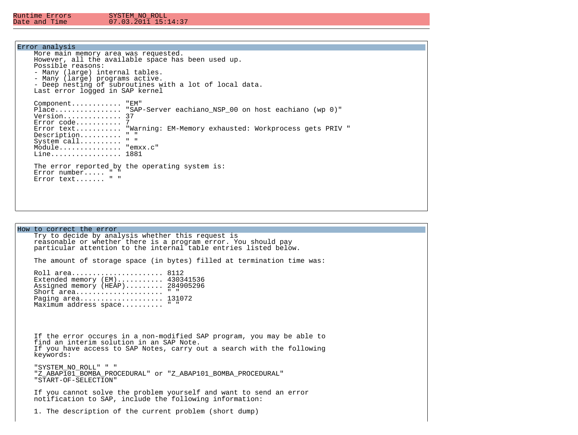## Error analysis

| More main memory area was requested.<br>However, all the available space has been used up.<br>Possible reasons:<br>- Many (large) internal tables.<br>- Many (large) programs active.<br>- Deep nesting of subroutines with a lot of local data.                                                                                                              |
|---------------------------------------------------------------------------------------------------------------------------------------------------------------------------------------------------------------------------------------------------------------------------------------------------------------------------------------------------------------|
| Last error logged in SAP kernel<br>Component "EM"<br>Place "SAP-Server eachiano NSP 00 on host eachiano (wp 0)"<br>Version 37<br>$Error code$ 7<br>Error text "Warning: EM-Memory exhausted: Workprocess gets PRIV "<br>$\mathbf{u}$ $\mathbf{u}$<br>$Description. \ldots \ldots$<br>$\mathbf{u} = \mathbf{u}$<br>System call<br>Module "emxx.c"<br>Line 1881 |
| The error reported by the operating system is:<br>Error number $" "$<br>Error text " "                                                                                                                                                                                                                                                                        |

How to correct the error Try to decide by analysis whether this request is reasonable or whether there is a program error. You should pay particular attention to the internal table entries listed below. The amount of storage space (in bytes) filled at termination time was: Roll area...................... 8112 Extended memory (EM)........... 430341536 Assigned memory (HEAP)......... 284905296 Short area....................... " " Paging area..................... 131072 Maximum address space.......... " " If the error occures in a non-modified SAP program, you may be able to find an interim solution in an SAP Note. If you have access to SAP Notes, carry out a search with the following keywords: "SYSTEM\_NO\_ROLL" " " "Z\_ABAP101\_BOMBA\_PROCEDURAL" or "Z\_ABAP101\_BOMBA\_PROCEDURAL" "START-OF-SELECTION" If you cannot solve the problem yourself and want to send an error notification to SAP, include the following information: 1. The description of the current problem (short dump)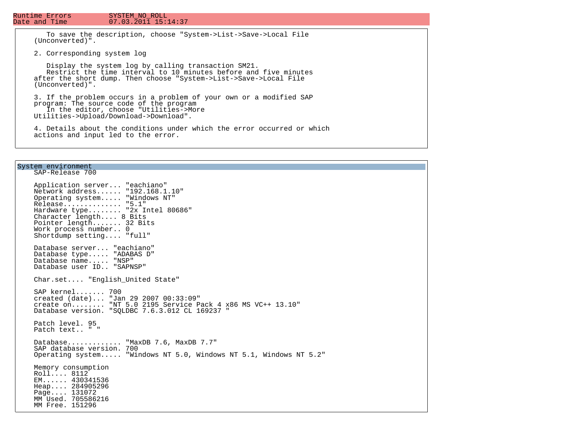## $07.03.\overline{2}01\overline{1}15:14:37$

 To save the description, choose "System->List->Save->Local File (Unconverted)".

2. Corresponding system log

 Display the system log by calling transaction SM21. Restrict the time interval to 10 minutes before and five minutes after the short dump. Then choose "System->List->Save->Local File (Unconverted)".

 3. If the problem occurs in a problem of your own or a modified SAP program: The source code of the program In the editor, choose "Utilities->More Utilities->Upload/Download->Download".

 4. Details about the conditions under which the error occurred or which actions and input led to the error.

### System environment

 SAP-Release 700 Application server... "eachiano" Network address...... "192.168.1.10" Operating system..... "Windows NT" Release.............. "5.1" Hardware type........ "2x Intel 80686" Character length.... 8 Bits Pointer length....... 32 Bits Work process number.. 0 Shortdump setting.... "full" Database server... "eachiano" Database type..... "ADABAS D" Database name..... "NSP" Database user ID.. "SAPNSP" Char.set.... "English\_United State" SAP kernel....... 700 created (date)... "Jan 29 2007 00:33:09" create on........ "NT 5.0 2195 Service Pack 4 x86 MS VC++ 13.10" Database version. "SQLDBC 7.6.3.012 CL 169237 " Patch level. 95 Patch text.. " " Database............. "MaxDB 7.6, MaxDB 7.7" SAP database version. 700 Operating system..... "Windows NT 5.0, Windows NT 5.1, Windows NT 5.2" Memory consumption Roll.... 8112 EM...... 430341536 Heap.... 284905296 Page.... 131072 MM Used. 705586216 MM Free. 151296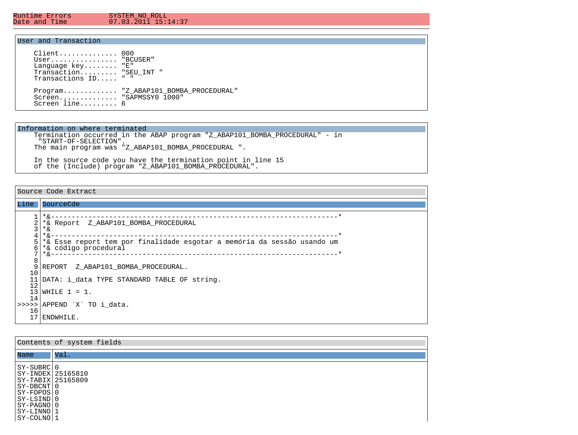Ξ

#### Runtime Errors SYSTEM\_NO\_ROLL<br>Date and Time 07.03.2011 15:1  $07.03.\overline{2}01\overline{1}15:14:37$

## User and Transaction

| $Client$ 000<br>$User$ "BCUSER"<br>Language $key$ " $E$ "<br>Transaction "SEU INT "<br>Transactions ID " " |                                      |
|------------------------------------------------------------------------------------------------------------|--------------------------------------|
| Screen "SAPMSSY0 1000"<br>Screen $line6$                                                                   | Program "Z ABAP101 BOMBA PROCEDURAL" |

## Information on where terminated

 Termination occurred in the ABAP program "Z\_ABAP101\_BOMBA\_PROCEDURAL" - in "START-OF-SELECTION". The main program was "Z\_ABAP101\_BOMBA\_PROCEDURAL ".

 In the source code you have the termination point in line 15 of the (Include) program "Z\_ABAP101\_BOMBA\_PROCEDURAL".

Source Code Extract

| Line             | SourceCde                                                                                                    |
|------------------|--------------------------------------------------------------------------------------------------------------|
| ⌒<br>∠<br>3<br>4 | $*_{\delta}$<br>*& Report Z ABAP101 BOMBA PROCEDURAL<br>*&<br>$*_{\delta}$                                   |
| 6<br>8           | *& Esse report tem por finalidade esgotar a memória da sessão usando um<br>*& código procedural<br>$*_{\&-}$ |
| 10               | 9 REPORT Z ABAP101 BOMBA PROCEDURAL.                                                                         |
| 12               | DATA: i data TYPE STANDARD TABLE OF string.                                                                  |
| 14               | $13 WHILE 1 = 1.$                                                                                            |
| 16               | >>>>> APPEND `X` TO i data.                                                                                  |
|                  | 17 ENDWHILE.                                                                                                 |

| Contents of system fields                                                                                                                                 |                 |  |  |  |
|-----------------------------------------------------------------------------------------------------------------------------------------------------------|-----------------|--|--|--|
| Name                                                                                                                                                      | $\mathsf{Val}.$ |  |  |  |
| SY-SUBRC 0<br> SY-INDEX 25165810<br> SY-TABIX 25165809<br>$ SY-DBCNT 0$<br>$ SY-FDPOS 0$<br> SY-LSIND 0<br>  SY-PAGNO   0<br> SY-LINNO 1<br>$ SY-COLNO 1$ |                 |  |  |  |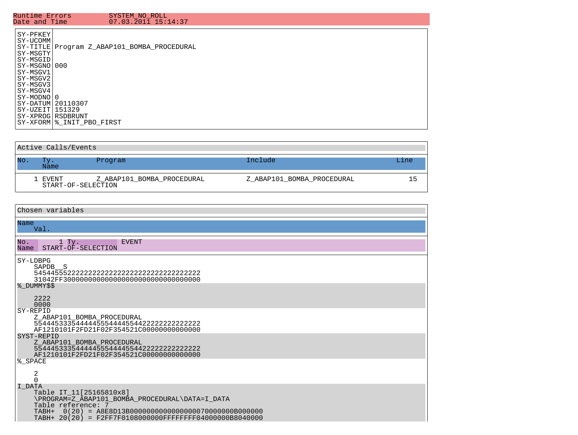| Runtime Errors                                                                                                                                      | SYSTEM NO ROLL                                                                                                          |
|-----------------------------------------------------------------------------------------------------------------------------------------------------|-------------------------------------------------------------------------------------------------------------------------|
| Date and Time                                                                                                                                       | 07.03.2011 15:14:37                                                                                                     |
| SY-PFKEY<br>SY-UCOMM<br> SY-MSGTY<br>SY-MSGID<br> SY-MSGNO 000<br> SY-MSGV1<br>SY-MSGV2<br>SY-MSGV3<br> SY-MSGV4<br> SY-MODNO 0<br> SY-UZEIT 151329 | SY-TITLE Program Z ABAP101 BOMBA PROCEDURAL<br> SY-DATUM 20110307<br>  SY-XPROG   RSDBRUNT<br>SY-XFORM % INIT PBO FIRST |

| Active Calls/Events |  |                               |                            |                            |      |
|---------------------|--|-------------------------------|----------------------------|----------------------------|------|
| <b>No</b>           |  | Tv.<br><b>Name</b>            | Program                    | Include                    | 'ine |
|                     |  | 1 EVENT<br>START-OF-SELECTION | Z ABAP101 BOMBA PROCEDURAL | Z ABAP101 BOMBA PROCEDURAL | 15.  |

| Chosen variables                                                                                                                                                       |  |  |  |
|------------------------------------------------------------------------------------------------------------------------------------------------------------------------|--|--|--|
| Name<br>Val.                                                                                                                                                           |  |  |  |
| No.<br>$1$ Ty.<br><b>EVENT</b><br>Name<br>START-OF-SELECTION                                                                                                           |  |  |  |
| SY-LDBPG<br>SAPDB <sub>S</sub><br>31042FF3000000000000000000000000000000000                                                                                            |  |  |  |
| 8 DUMMY\$\$<br>2222<br>0000                                                                                                                                            |  |  |  |
| SY-REPID<br>Z ABAP101 BOMBA PROCEDURAL<br>AF1210101F2FD21F02F354521C00000000000000                                                                                     |  |  |  |
| SYST-REPID<br>Z ABAP101 BOMBA PROCEDURAL<br>AF1210101F2FD21F02F354521C000000000000000                                                                                  |  |  |  |
| % SPACE<br>2<br>$\Omega$                                                                                                                                               |  |  |  |
| I DATA<br>Table IT 11[25165810x8]<br>\PROGRAM=Z_ABAP101_BOMBA_PROCEDURAL\DATA=I_DATA<br>Table reference: 7<br>TABH+ 20(20) = F2FF7F0108000000FFFFFFFFF04000000B8040000 |  |  |  |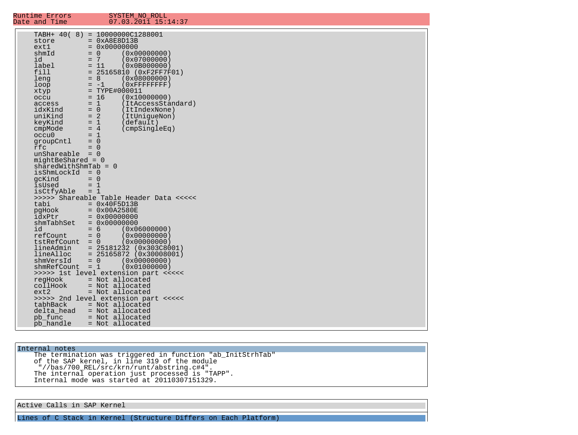| Runtime Errors<br>Date and Time                                                                                                                                                                                                               | SYSTEM NO ROLL<br>07.03.2011 15:14:37                                                                                                                                                                                                                                                                                                                                                                                                                                                                                              |
|-----------------------------------------------------------------------------------------------------------------------------------------------------------------------------------------------------------------------------------------------|------------------------------------------------------------------------------------------------------------------------------------------------------------------------------------------------------------------------------------------------------------------------------------------------------------------------------------------------------------------------------------------------------------------------------------------------------------------------------------------------------------------------------------|
| store<br>ext1<br>shmId<br>id<br>label<br>fill<br>leng<br>loop<br>xtyp<br>occu<br>access<br>idxKind<br>uniKind<br>keyKind<br>cmpMode<br>occu0<br>groupCntl<br>rfc<br>$unShareable = 0$<br>$midBeshared = 0$<br>isShmLockId<br>gcKind<br>isUsed | TABH+ 40( 8) = 10000000C1288001<br>$= 0xA8E8D13B$<br>$= 0 \times 00000000$<br>$= 0$<br>(0x00000000)<br>$= 7$<br>(0x07000000)<br>$= 11$<br>(0x0B000000)<br>$= 25165810 (0xF2FF7F01)$<br>$= 8$<br>(0x08000000)<br>$(0x$ FFFFFFFFF $)$<br>$= -1$<br>$= TYPE#000011$<br>$= 16$<br>(0x10000000)<br>$= 1$<br>(ItAccessStandard)<br>$= 0$<br>(ItIndexNone)<br>$= 2$<br>(ItUniqueNon)<br>$= 1$<br>(default)<br>$= 4$<br>$(\text{cmpSingleEq})$<br>$= 1$<br>$= 0$<br>$= 0$<br>$sharedWithShmTab = 0$<br>$= 0$<br>$= 0$<br>$= 1$             |
| isCtfyAble<br>tabi<br>pgHook<br>idxPtr<br>shmTabhSet<br>id<br>refCount<br>$tstRefCount = 0$<br>lineAdmin<br>lineAlloc<br>shmVersId<br>shmRefCount<br>regHook<br>collHook<br>ext2<br>tabhBack<br>delta head<br>pb func<br>pb_handle            | $= 1$<br>>>>>> Shareable Table Header Data <<<<<<br>$= 0x40F5D13B$<br>$= 0x00A2580E$<br>$= 0x00000000$<br>$= 0 \times 00000000$<br>$= 6$<br>(0x06000000)<br>$= 0$<br>(0x00000000)<br>(0x00000000)<br>$= 25181232 (0x303C8001)$<br>$= 25165872 (0x30008001)$<br>(0x00000000)<br>$= 0$<br>$= 1$<br>(0x01000000)<br>>>>>> 1st level extension part <<<<<<br>= Not allocated<br>= Not allocated<br>= Not allocated<br>>>>>> 2nd level extension part <<<<<<br>= Not allocated<br>= Not allocated<br>= Not allocated<br>= Not allocated |

Internal notes

 The termination was triggered in function "ab\_InitStrhTab" of the SAP kernel, in line 319 of the module "//bas/700\_REL/src/krn/runt/abstring.c#4". The internal operation just processed is "TAPP". Internal mode was started at 20110307151329.

Active Calls in SAP Kernel

Lines of C Stack in Kernel (Structure Differs on Each Platform)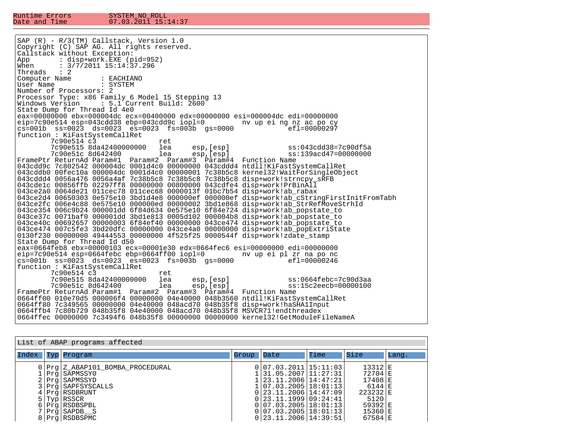| $SAP (R) - R/3(TM)$ Callstack, Version 1.0                                                                       |  |  |  |  |  |
|------------------------------------------------------------------------------------------------------------------|--|--|--|--|--|
| Copyright (C) SAP AG. All rights reserved.                                                                       |  |  |  |  |  |
| Callstack without Exception:                                                                                     |  |  |  |  |  |
| : disp+work.EXE (pid=952)<br>App                                                                                 |  |  |  |  |  |
| When : $3/7/2011$ 15:14:37.296                                                                                   |  |  |  |  |  |
| Threads $: 2$                                                                                                    |  |  |  |  |  |
| Computer Name<br>: EACHIANO                                                                                      |  |  |  |  |  |
| User Name<br>: SYSTEM                                                                                            |  |  |  |  |  |
| Number of Processors: 2                                                                                          |  |  |  |  |  |
| Processor Type: x86 Family 6 Model 15 Stepping 13                                                                |  |  |  |  |  |
| Windows Version      : 5.1 Current Build: 2600                                                                   |  |  |  |  |  |
| State Dump for Thread Id 4e0                                                                                     |  |  |  |  |  |
| eax=00000000 ebx=000004dc ecx=00400000 edx=00000000 esi=000004dc edi=00000000                                    |  |  |  |  |  |
| eip=7c90e514 esp=043cdd38 ebp=043cdd9c iopl=0 hv up ei ng nz ac po cy                                            |  |  |  |  |  |
| $cs=001b$ $ss=0023$ $ds=0023$ $es=0023$ $fs=003b$ $gs=0000$<br>$ef1=00000297$                                    |  |  |  |  |  |
| function: KiFastSystemCallRet                                                                                    |  |  |  |  |  |
| 7c90e514 c3<br>ret                                                                                               |  |  |  |  |  |
| esp,[esp]        ss:043cdd38=7c90df5a<br>esp,[esp]        ss:139acd47=00000000<br>7c90e515 8da42400000000<br>lea |  |  |  |  |  |
| 7c90e51c 8d642400<br>lea                                                                                         |  |  |  |  |  |
| FramePtr ReturnAd Param#1 Param#2 Param#3 Param#4 Function Name                                                  |  |  |  |  |  |
| $043$ cdd9c 7c802542 000004dc 0001d4c0 00000000 043cddd4 ntdll!KiFastSystemCallRet                               |  |  |  |  |  |
| 043cddb0 00fec10a 000004dc 0001d4c0 00000001 7c38b5c8 kernel32!WaitForSingleObject                               |  |  |  |  |  |
| 043cddd4 0056a476 0056a4af 7c38b5c8 7c38b5c8 7c38b5c8 disp+work!strncpy_sRFB                                     |  |  |  |  |  |
| 043cdelc 00856ffb 02297ff8 00000000 00800000 043cdfe4 disp+work!PrBinAll                                         |  |  |  |  |  |
| 043ce2a0 0064de21 011cec78 011cec68 0000013f 01bc7b54 disp+work!ab_rabax                                         |  |  |  |  |  |
| 043ce2d4 00650303 0e575e10 3bd1d4e8 000000ef 000000ef disp+work!ab_cStringFirstInitFromTabh                      |  |  |  |  |  |
| 043ce2fc 006e4c88 0e575e10 000000ed 00000002 3bd1e868 disp+work!ab_StrRefMoveStrhId                              |  |  |  |  |  |
| 043ce354 006c9b24 000001dd 6f84d634 0e575e10 6f84e724 disp+work!ab_popstate_to                                   |  |  |  |  |  |
| $043$ ce37c 0071baf0 000001dd 3bd1e813 0005d102 000004b8 disp+work!ab popstate to                                |  |  |  |  |  |
| 043ce40c 00692657 00000003 6f84ef40 00000000 043ce474 disp+work!ab_popstate_to 0                                 |  |  |  |  |  |
| 043ce474 007c5fe3 3bd20dfc 00000000 043ce4a0 00000000 disp+work!ab_popExtriState                                 |  |  |  |  |  |
| 0130f230 00000000 49444553 00000000 4f525f25 0000544f disp+work!zdate stamp                                      |  |  |  |  |  |
| State Dump for Thread Id d50                                                                                     |  |  |  |  |  |
| $ eax=0664feb8 ebx=00000103 ecx=00001e30 edx=0664fec6 esi=00000000 edi=000000000$                                |  |  |  |  |  |
| $\text{eip}=7c90e514$ esp=0664febc ebp=0664ff00 iopl=0 hv up ei pl zr na po nc                                   |  |  |  |  |  |
| $\sqrt{3}$ cs=001b ss=0023 ds=0023 es=0023 fs=003b qs=0000<br>efl=00000246                                       |  |  |  |  |  |
| function: KiFastSystemCallRet                                                                                    |  |  |  |  |  |
| 7c90e514 c3<br>ret                                                                                               |  |  |  |  |  |
| 7c90e515 8da42400000000<br>ss:0664febc=7c90d3aa                                                                  |  |  |  |  |  |
| lea esp,[esp]<br>lea esp,[esp]<br>7c90e51c 8d642400<br>$ss:15c2eecb=00000100$                                    |  |  |  |  |  |
| FramePtr ReturnAd Param#1 Param#2 Param#3 Param#4 Function Name                                                  |  |  |  |  |  |
| 0664ff00 010e70d5 000006f4 00000000 04e40000 048b3560 ntdll!KiFastSystemCallRet                                  |  |  |  |  |  |
| 0664ff80 7c349565 00000000 04e40000 048acd70 048b35f8 disp+work!haSHAlInput                                      |  |  |  |  |  |
| 0664ffb4 7c80b729 048b35f8 04e40000 048acd70 048b35f8 MSVCR71!endthreadex                                        |  |  |  |  |  |
| 0664ffec 00000000 7c3494f6 048b35f8 00000000 00000000 kernel32!GetModuleFileNameA                                |  |  |  |  |  |

| List of ABAP programs affected |  |                                                                                                                                                                                                         |       |                                                                                                                                                                                                                                              |      |                                                                                                     |       |
|--------------------------------|--|---------------------------------------------------------------------------------------------------------------------------------------------------------------------------------------------------------|-------|----------------------------------------------------------------------------------------------------------------------------------------------------------------------------------------------------------------------------------------------|------|-----------------------------------------------------------------------------------------------------|-------|
| Index                          |  | Typ Program                                                                                                                                                                                             | Group | Date                                                                                                                                                                                                                                         | Time | Size                                                                                                | Lang. |
|                                |  | Prg Z ABAP101 BOMBA PROCEDURAL<br> Prq SAPMSSY0<br>2   Prq   SAPMSSYD<br>3   Prg   SAPFSYSCALLS<br>4   Prg   RSDBRUNT<br>$5$  Typ RSSCR<br>$6 Prq $ RSDBSPBL<br>7   Prq   SAPDB S<br>8   Prg   RSDBSPMC |       | 0 07.03.2011 15:11:03 <br> 31.05.2007 11:27:31 <br>.123.11.2006114:47:211<br>ll07.03.2005l18:01:13l<br>0123.11.2006114:47:09<br>0123.11.1999109:24:41<br>0   07.03.2005   18:01:13  <br>0   07.03.2005   18:01:13  <br>0 23.11.2006 14:39:51 |      | $13312$ $E$<br>72704 E<br>17408 E<br>6144 E<br>223232 E<br>5120<br>59392 E<br>15360 E<br>$67584$  E |       |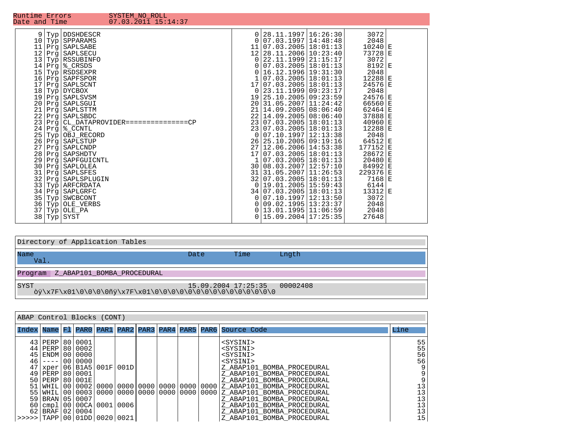| Directory of Application Tables                                                |                     |      |          |  |  |
|--------------------------------------------------------------------------------|---------------------|------|----------|--|--|
| Name<br>Val.                                                                   | Date                | Time | Lngth    |  |  |
| Z ABAP101 BOMBA PROCEDURAL<br>Program                                          |                     |      |          |  |  |
| SYST<br><i>dy\x7F\x01\0\0\0\0jqv\x7F\x01\0\0\0\0\0\0\0\0\0\0\0\0\0\0\0\0\0</i> | 15.09.2004 17:25:35 |      | 00002408 |  |  |

| ABAP Control Blocks (CONT)            |                                                          |  |            |  |      |  |  |  |  |                                                                                              |                 |
|---------------------------------------|----------------------------------------------------------|--|------------|--|------|--|--|--|--|----------------------------------------------------------------------------------------------|-----------------|
| Index Name FI                         |                                                          |  |            |  |      |  |  |  |  | PAR0 PAR1 PAR2 PAR3 PAR4 PAR5 PAR6 Source Code                                               | Line            |
|                                       | 43   PERP   80   0001                                    |  |            |  |      |  |  |  |  | <sysini></sysini>                                                                            | 55              |
|                                       | 44   PERP   80   0002                                    |  |            |  |      |  |  |  |  | <sysini></sysini>                                                                            | 55              |
|                                       | 45 ENDM 00 0000                                          |  |            |  |      |  |  |  |  | <sysini></sysini>                                                                            | 56              |
| 46                                    | $---$                                                    |  | 00   00 00 |  |      |  |  |  |  | <sysini></sysini>                                                                            | 56              |
|                                       | xper 06 B1A5 001F                                        |  |            |  | 001D |  |  |  |  | Z ABAP101 BOMBA PROCEDURAL                                                                   | 9 <sub>1</sub>  |
| 49                                    | PERP 80 0001                                             |  |            |  |      |  |  |  |  | Z ABAP101 BOMBA PROCEDURAL                                                                   | 9 <sub>1</sub>  |
|                                       | 50   PERP   80   001E                                    |  |            |  |      |  |  |  |  | Z ABAP101 BOMBA PROCEDURAL                                                                   | 9 <sub>1</sub>  |
|                                       |                                                          |  |            |  |      |  |  |  |  | 51   WHIL   00   0002   0000   0000   0000   0000   0000   0000   Z_ABAP101_BOMBA_PROCEDURAL | 131             |
|                                       | 55   WHIL   00   0003   0000   0000   0000   0000   0000 |  |            |  |      |  |  |  |  | 0000 Z ABAP101 BOMBA PROCEDURAL                                                              | 13              |
|                                       | 59   BRAN   05   0007                                    |  |            |  |      |  |  |  |  | Z ABAP101 BOMBA PROCEDURAL                                                                   | 13              |
|                                       | 60   cmp1   00   00 CA   00 01   00 06                   |  |            |  |      |  |  |  |  | Z ABAP101 BOMBA PROCEDURAL                                                                   | 13              |
|                                       | 62 BRAF 02 0004                                          |  |            |  |      |  |  |  |  | Z ABAP101 BOMBA PROCEDURAL                                                                   | 13              |
| $>>>>$ TAPP   00   01DD   0020   0021 |                                                          |  |            |  |      |  |  |  |  | Z ABAP101 BOMBA PROCEDURAL                                                                   | 15 <sub>1</sub> |